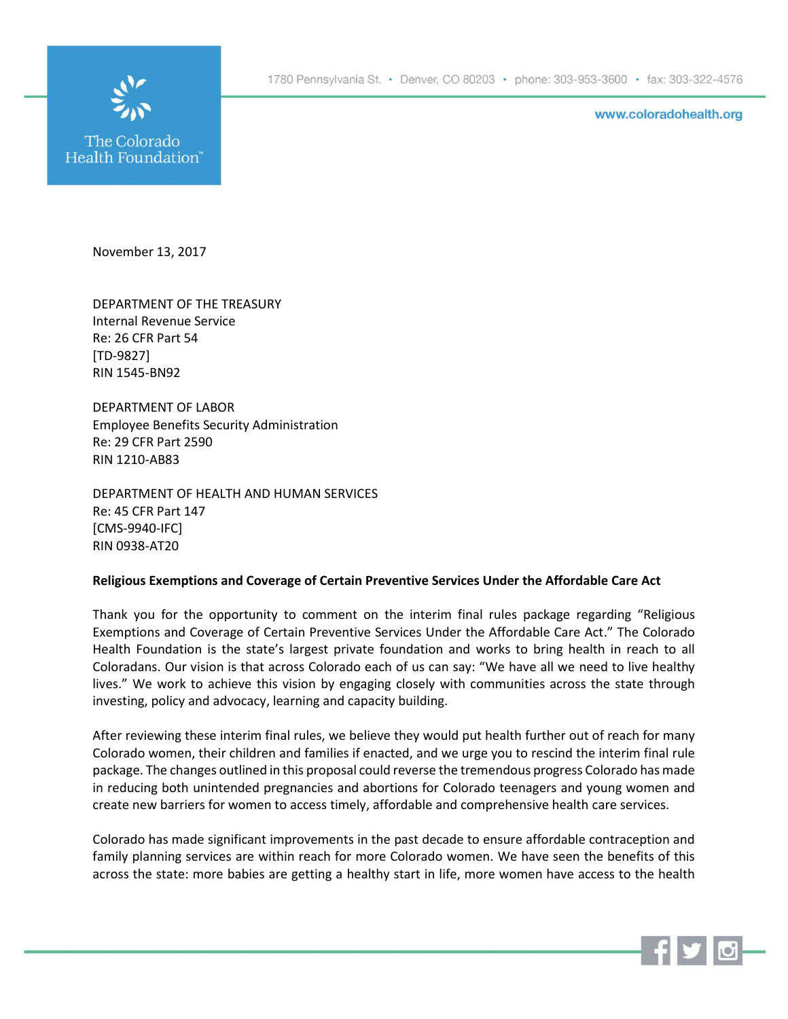1780 Pennsylvania St. • Denver, CO 80203 • phone: 303-953-3600 • fax: 303-322-4576



www.coloradohealth.org

November 13, 2017

DEPARTMENT OF THE TREASURY Internal Revenue Service Re: 26 CFR Part 54 [TD-9827] RIN 1545-BN92

DEPARTMENT OF LABOR Employee Benefits Security Administration Re: 29 CFR Part 2590 RIN 1210-AB83

DEPARTMENT OF HEALTH AND HUMAN SERVICES Re: 45 CFR Part 147 [CMS-9940-IFC] RIN 0938-AT20

## **Religious Exemptions and Coverage of Certain Preventive Services Under the Affordable Care Act**

Thank you for the opportunity to comment on the interim final rules package regarding "Religious Exemptions and Coverage of Certain Preventive Services Under the Affordable Care Act." The Colorado Health Foundation is the state's largest private foundation and works to bring health in reach to all Coloradans. Our vision is that across Colorado each of us can say: "We have all we need to live healthy lives." We work to achieve this vision by engaging closely with communities across the state through investing, policy and advocacy, learning and capacity building.

After reviewing these interim final rules, we believe they would put health further out of reach for many Colorado women, their children and families if enacted, and we urge you to rescind the interim final rule package. The changes outlined in this proposal could reverse the tremendous progress Colorado has made in reducing both unintended pregnancies and abortions for Colorado teenagers and young women and create new barriers for women to access timely, affordable and comprehensive health care services.

Colorado has made significant improvements in the past decade to ensure affordable contraception and family planning services are within reach for more Colorado women. We have seen the benefits of this across the state: more babies are getting a healthy start in life, more women have access to the health

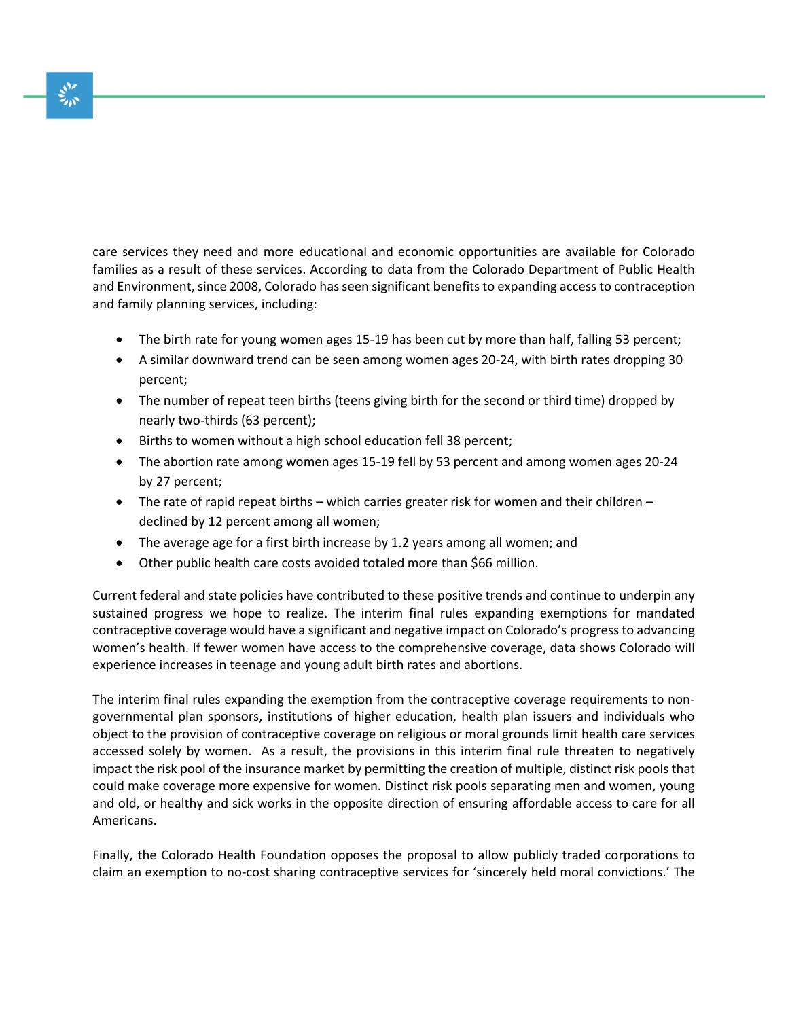care services they need and more educational and economic opportunities are available for Colorado families as a result of these services. According to data from the Colorado Department of Public Health and Environment, since 2008, Colorado has seen significant benefits to expanding access to contraception and family planning services, including:

- The birth rate for young women ages 15-19 has been cut by more than half, falling 53 percent;
- A similar downward trend can be seen among women ages 20-24, with birth rates dropping 30 percent;
- The number of repeat teen births (teens giving birth for the second or third time) dropped by nearly two-thirds (63 percent);
- Births to women without a high school education fell 38 percent;
- The abortion rate among women ages 15-19 fell by 53 percent and among women ages 20-24 by 27 percent;
- The rate of rapid repeat births which carries greater risk for women and their children declined by 12 percent among all women;
- The average age for a first birth increase by 1.2 years among all women; and
- Other public health care costs avoided totaled more than \$66 million.

Current federal and state policies have contributed to these positive trends and continue to underpin any sustained progress we hope to realize. The interim final rules expanding exemptions for mandated contraceptive coverage would have a significant and negative impact on Colorado's progress to advancing women's health. If fewer women have access to the comprehensive coverage, data shows Colorado will experience increases in teenage and young adult birth rates and abortions.

The interim final rules expanding the exemption from the contraceptive coverage requirements to nongovernmental plan sponsors, institutions of higher education, health plan issuers and individuals who object to the provision of contraceptive coverage on religious or moral grounds limit health care services accessed solely by women. As a result, the provisions in this interim final rule threaten to negatively impact the risk pool of the insurance market by permitting the creation of multiple, distinct risk pools that could make coverage more expensive for women. Distinct risk pools separating men and women, young and old, or healthy and sick works in the opposite direction of ensuring affordable access to care for all Americans.

Finally, the Colorado Health Foundation opposes the proposal to allow publicly traded corporations to claim an exemption to no-cost sharing contraceptive services for 'sincerely held moral convictions.' The